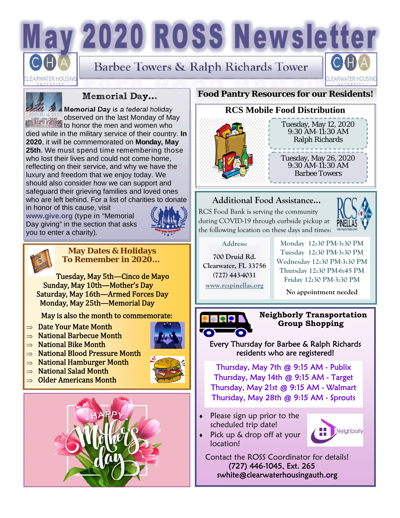# ay 2020 ROSS Newsletter

ARWATER HOUSIN

**Barbee Towers & Ralph Richards Tower** 



#### **Memorial Day...**

**Memorial Day** is a federal holiday observed on the last Monday of May to honor the men and women who died while in the military service of their country. **In 2020**, it will be commemorated on **Monday, May 25th**. We must spend time remembering those who lost their lives and could not come home, reflecting on their service, and why we have the luxury and freedom that we enjoy today. We should also consider how we can support and safeguard their grieving families and loved ones

who are left behind. For a list of charities to donate in honor of this cause, visit **www.give.org** (type in "Memorial

Day giving" in the section that asks you to enter a charity).





#### **May Dates & Holidays To Remember in 2020…**

Tuesday, May 5th—Cinco de Mayo Sunday, May 10th—Mother's Day Saturday, May 16th—Armed Forces Day Monday, May 25th—Memorial Day

May is also the month to commemorate:

- $\Rightarrow$  Date Your Mate Month
- $\Rightarrow$  National Barbecue Month
- $\Rightarrow$  National Bike Month
- $\Rightarrow$  National Blood Pressure Month
- $\Rightarrow$  National Hamburger Month
- $\Rightarrow$  National Salad Month
- $\Rightarrow$  Older Americans Month



#### **Food Pantry Resources for our Residents!**

### **RCS Mobile Food Distribution**



# **Additional Food Assistance...**

RCS Food Bank is serving the community during COVID-19 through curbside pickup at the following location on these days and times:

**Address:** 

**700 Druid Rd. Clearwater, FL 33756 (727) 443-4031 www.rcspinellas.org**

**Monday 12:30 PM-3:30 PM Tuesday 12:30 PM-3:30 PM Wednesday 12:30 PM-3:30 PM Thursday 12:30 PM-6:45 PM Friday 12:30 PM-3:30 PM** 

**No appointment needed** 



location!

#### **Neighborly Transportation Group Shopping**

Every Thursday for Barbee & Ralph Richards residents who are registered!

Thursday, May 7th @ 9:15 AM - Publix Thursday, May 14th @ 9:15 AM - Target Thursday, May 21st @ 9:15 AM - Walmart Thursday, May 28th @ 9:15 AM - Sprouts

 $\bullet$  Please sign up prior to the scheduled trip date!

Pick up & drop off at your



 Contact the ROSS Coordinator for details! (727) 446-1045, Ext. 265 swhite@clearwaterhousingauth.org